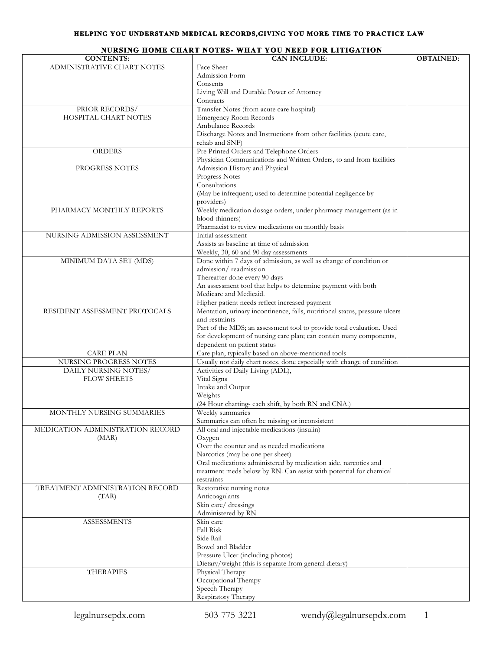## **HELPING YOU UNDERSTAND MEDICAL RECORDS,GIVING YOU MORE TIME TO PRACTICE LAW**

|                                  | NURSING HOME CHART NOTES- WHAT YOU NEED FOR LITIGATION                      |                  |
|----------------------------------|-----------------------------------------------------------------------------|------------------|
| <b>CONTENTS:</b>                 | <b>CAN INCLUDE:</b>                                                         | <b>OBTAINED:</b> |
| ADMINISTRATIVE CHART NOTES       | Face Sheet                                                                  |                  |
|                                  | Admission Form                                                              |                  |
|                                  | Consents                                                                    |                  |
|                                  | Living Will and Durable Power of Attorney                                   |                  |
|                                  | Contracts                                                                   |                  |
|                                  |                                                                             |                  |
| PRIOR RECORDS/                   | Transfer Notes (from acute care hospital)                                   |                  |
| HOSPITAL CHART NOTES             | <b>Emergency Room Records</b>                                               |                  |
|                                  | Ambulance Records                                                           |                  |
|                                  | Discharge Notes and Instructions from other facilities (acute care,         |                  |
|                                  | rehab and SNF)                                                              |                  |
| <b>ORDERS</b>                    | Pre Printed Orders and Telephone Orders                                     |                  |
|                                  |                                                                             |                  |
|                                  | Physician Communications and Written Orders, to and from facilities         |                  |
| PROGRESS NOTES                   | Admission History and Physical                                              |                  |
|                                  | Progress Notes                                                              |                  |
|                                  | Consultations                                                               |                  |
|                                  | (May be infrequent; used to determine potential negligence by               |                  |
|                                  | providers)                                                                  |                  |
| PHARMACY MONTHLY REPORTS         | Weekly medication dosage orders, under pharmacy management (as in           |                  |
|                                  |                                                                             |                  |
|                                  | blood thinners)                                                             |                  |
|                                  | Pharmacist to review medications on monthly basis                           |                  |
| NURSING ADMISSION ASSESSMENT     | Initial assessment                                                          |                  |
|                                  | Assists as baseline at time of admission                                    |                  |
|                                  | Weekly, 30, 60 and 90 day assessments                                       |                  |
| MINIMUM DATA SET (MDS)           | Done within 7 days of admission, as well as change of condition or          |                  |
|                                  | admission/readmission                                                       |                  |
|                                  |                                                                             |                  |
|                                  | Thereafter done every 90 days                                               |                  |
|                                  | An assessment tool that helps to determine payment with both                |                  |
|                                  | Medicare and Medicaid.                                                      |                  |
|                                  | Higher patient needs reflect increased payment                              |                  |
| RESIDENT ASSESSMENT PROTOCALS    | Mentation, urinary incontinence, falls, nutritional status, pressure ulcers |                  |
|                                  | and restraints                                                              |                  |
|                                  | Part of the MDS; an assessment tool to provide total evaluation. Used       |                  |
|                                  |                                                                             |                  |
|                                  | for development of nursing care plan; can contain many components,          |                  |
|                                  | dependent on patient status                                                 |                  |
| <b>CARE PLAN</b>                 | Care plan, typically based on above-mentioned tools                         |                  |
| NURSING PROGRESS NOTES           | Usually not daily chart notes, done especially with change of condition     |                  |
| DAILY NURSING NOTES/             | Activities of Daily Living (ADL),                                           |                  |
| <b>FLOW SHEETS</b>               | Vital Signs                                                                 |                  |
|                                  | Intake and Output                                                           |                  |
|                                  |                                                                             |                  |
|                                  | Weights                                                                     |                  |
|                                  | (24 Hour charting- each shift, by both RN and CNA.)                         |                  |
| MONTHLY NURSING SUMMARIES        | Weekly summaries                                                            |                  |
|                                  | Summaries can often be missing or inconsistent                              |                  |
| MEDICATION ADMINISTRATION RECORD | All oral and injectable medications (insulin)                               |                  |
| (MAR)                            |                                                                             |                  |
|                                  | Oxygen<br>Over the counter and as needed medications                        |                  |
|                                  |                                                                             |                  |
|                                  | Narcotics (may be one per sheet)                                            |                  |
|                                  | Oral medications administered by medication aide, narcotics and             |                  |
|                                  | treatment meds below by RN. Can assist with potential for chemical          |                  |
|                                  | restraints                                                                  |                  |
| TREATMENT ADMINISTRATION RECORD  | Restorative nursing notes                                                   |                  |
| (TAR)                            | Anticoagulants                                                              |                  |
|                                  | Skin care/ dressings                                                        |                  |
|                                  |                                                                             |                  |
|                                  | Administered by RN                                                          |                  |
| <b>ASSESSMENTS</b>               | Skin care                                                                   |                  |
|                                  | Fall Risk                                                                   |                  |
|                                  | Side Rail                                                                   |                  |
|                                  | Bowel and Bladder                                                           |                  |
|                                  | Pressure Ulcer (including photos)                                           |                  |
|                                  | Dietary/weight (this is separate from general dietary)                      |                  |
| <b>THERAPIES</b>                 | Physical Therapy                                                            |                  |
|                                  |                                                                             |                  |
|                                  | Occupational Therapy                                                        |                  |
|                                  | Speech Therapy                                                              |                  |
|                                  | Respiratory Therapy                                                         |                  |
|                                  |                                                                             |                  |

## **NURSING HOME CHART NOTES- WHAT YOU NEED FOR LITIGATION**